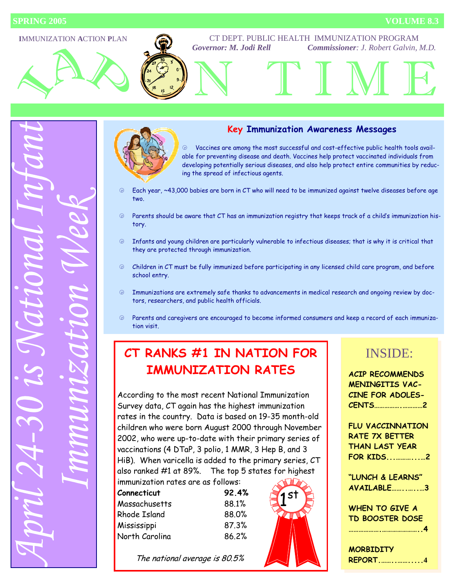



#### **Key Immunization Awareness Messages**

 $\circledast$  Vaccines are among the most successful and cost-effective public health tools available for preventing disease and death. Vaccines help protect vaccinated individuals from developing potentially serious diseases, and also help protect entire communities by reducing the spread of infectious agents.

- $\oplus$  Each year, ~43,000 babies are born in CT who will need to be immunized against twelve diseases before age two.
- $\circledast$  Parents should be aware that CT has an immunization registry that keeps track of a child's immunization history.
- $\oplus$  Infants and young children are particularly vulnerable to infectious diseases; that is why it is critical that they are protected through immunization.
- $\odot$  Children in CT must be fully immunized before participating in any licensed child care program, and before school entry.
- $\oplus$  Immunizations are extremely safe thanks to advancements in medical research and ongoing review by doctors, researchers, and public health officials.
- $\circledast$  Parents and caregivers are encouraged to become informed consumers and keep a record of each immunization visit.

1

# **CT RANKS #1 IN NATION FOR IMMUNIZATION RATES**

According to the most recent National Immunization Survey data, CT again has the highest immunization rates in the country. Data is based on 19-35 month-old children who were born August 2000 through November 2002, who were up-to-date with their primary series of vaccinations (4 DTaP, 3 polio, 1 MMR, 3 Hep B, and 3 HiB). When varicella is added to the primary series, CT also ranked #1 at 89%. The top 5 states for highest

immunization rates are as follows: **Connecticut 92.4%** 

| CONNECTICUT    | <b>96.4%</b> |
|----------------|--------------|
| Massachusetts  | 88.1%        |
| Rhode Island   | 88.0%        |
| Mississippi    | 87.3%        |
| North Carolina | 86.2%        |
|                |              |

The national average is 80.5%



## INSIDE:

**ACIP RECOMMENDS MENINGITIS VAC-CINE FOR ADOLES-CENTS…………….…………2** 

**FLU VACCINNATION RATE 7X BETTER THAN LAST YEAR FOR KIDS...………...…2** 

**"LUNCH & LEARNS" AVAILABLE……..…..…3** 

**WHEN TO GIVE A TD BOOSTER DOSE** 

**……………….…………………..4** 

**MORBIDITY REPORT.……..…….....4**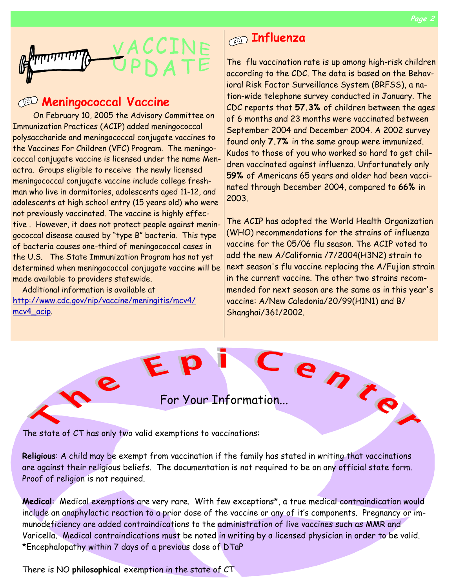

## **Meningococcal Vaccine**

On February 10, 2005 the Advisory Committee on Immunization Practices (ACIP) added meningococcal polysaccharide and meningococcal conjugate vaccines to the Vaccines For Children (VFC) Program. The meningococcal conjugate vaccine is licensed under the name Menactra. Groups eligible to receive the newly licensed meningococcal conjugate vaccine include college freshman who live in dormitories, adolescents aged 11-12, and adolescents at high school entry (15 years old) who were not previously vaccinated. The vaccine is highly effective . However, it does not protect people against meningococcal disease caused by "type B" bacteria. This type of bacteria causes one-third of meningococcal cases in the U.S. The State Immunization Program has not yet determined when meningococcal conjugate vaccine will be made available to providers statewide.

 Additional information is available at http://www.cdc.gov/nip/vaccine/meningitis/mcv4/ mcv4\_acip.

ne

# **Influenza**

The flu vaccination rate is up among high-risk children according to the CDC. The data is based on the Behavioral Risk Factor Surveillance System (BRFSS), a nation-wide telephone survey conducted in January. The CDC reports that **57.3%** of children between the ages of 6 months and 23 months were vaccinated between September 2004 and December 2004. A 2002 survey found only **7.7%** in the same group were immunized. Kudos to those of you who worked so hard to get children vaccinated against influenza. Unfortunately only **59%** of Americans 65 years and older had been vaccinated through December 2004, compared to **66%** in 2003.

The ACIP has adopted the World Health Organization (WHO) recommendations for the strains of influenza vaccine for the 05/06 flu season. The ACIP voted to add the new A/California /7/2004(H3N2) strain to next season's flu vaccine replacing the A/Fujian strain in the current vaccine. The other two strains recommended for next season are the same as in this year's vaccine: A/New Caledonia/20/99(H1N1) and B/ Shanghai/361/2002.

For Your Information...

The state of CT has only two valid exemptions to vaccinations:

EP

**Religious**: A child may be exempt from vaccination if the family has stated in writing that vaccinations are against their religious beliefs. The documentation is not required to be on any official state form. Proof of religion is not required.

**Medical**: Medical exemptions are very rare. With few exceptions\*, a true medical contraindication would include an anaphylactic reaction to a prior dose of the vaccine or any of it's components. Pregnancy or immunodeficiency are added contraindications to the administration of live vaccines such as MMR and Varicella. Medical contraindications must be noted in writing by a licensed physician in order to be valid. \*Encephalopathy within 7 days of a previous dose of DTaP

There is NO **philosophical** exemption in the state of CT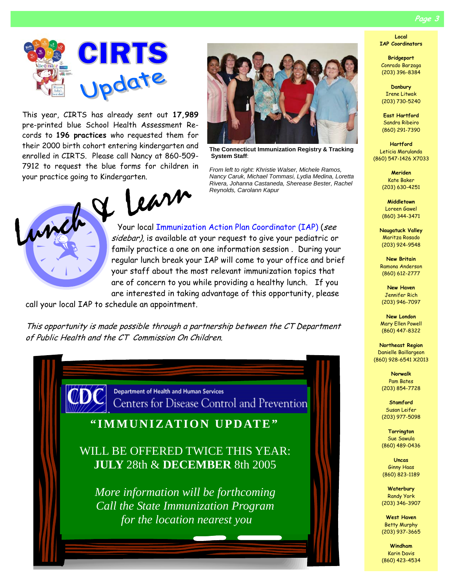**Page 3** 



This year, CIRTS has already sent out **17,989** pre-printed blue School Health Assessment Records to **196 practices** who requested them for their 2000 birth cohort entering kindergarten and enrolled in CIRTS. Please call Nancy at 860-509- 7912 to request the blue forms for children in



**The Connecticut Immunization Registry & Tracking System Staff**:

*From left to right: Khristie Walser, Michele Ramos, Nancy Caruk, Michael Tommasi, Lydia Medina, Loretta Rivera, Johanna Castaneda, Sherease Bester, Rachel Reynolds, Carolann Kapur* 



Your local Immunization Action Plan Coordinator (IAP) (see sidebar), is available at your request to give your pediatric or family practice a one on one information session . During your regular lunch break your IAP will come to your office and brief your staff about the most relevant immunization topics that are of concern to you while providing a healthy lunch. If you are interested in taking advantage of this opportunity, please

call your local IAP to schedule an appointment.

This opportunity is made possible through a partnership between the CT Department of Public Health and the CT Commission On Children.

> Department of Health and Human Services Centers for Disease Control and Prevention

**"IMMUNIZATION UPDATE"** 

WILL BE OFFERED TWICE THIS YEAR: **JULY** 28th & **DECEMBER** 8th 2005

*More information will be forthcoming Call the State Immunization Program for the location nearest you* 

**Local IAP Coordinators** 

**Bridgeport**  Conrado Barzaga (203) 396-8384

**Danbury**  Irene Litwak (203) 730-5240

**East Hartford**  Sandra Ribeiro (860) 291-7390

**Hartford**  Leticia Marulanda (860) 547-1426 X7033

> **Meriden**  Kate Baker (203) 630-4251

> **Middletown**  Loreen Gawel (860) 344-3471

**Naugatuck Valley**  Maritza Rosado (203) 924-9548

**New Britain**  Ramona Anderson (860) 612-2777

**New Haven**  Jennifer Rich (203) 946-7097

**New London**  Mary Ellen Powell (860) 447-8322

**Northeast Region**  Danielle Baillargeon (860) 928-6541 X2013

> **Norwalk**  Pam Bates (203) 854-7728

**Stamford**  Susan Leifer (203) 977-5098

**Torrington**  Sue Sawula (860) 489-0436

**Uncas**  Ginny Haas (860) 823-1189

**Waterbury**  Randy York (203) 346-3907

**West Haven**  Betty Murphy (203) 937-3665

**Windham**  Karin Davis (860) 423-4534